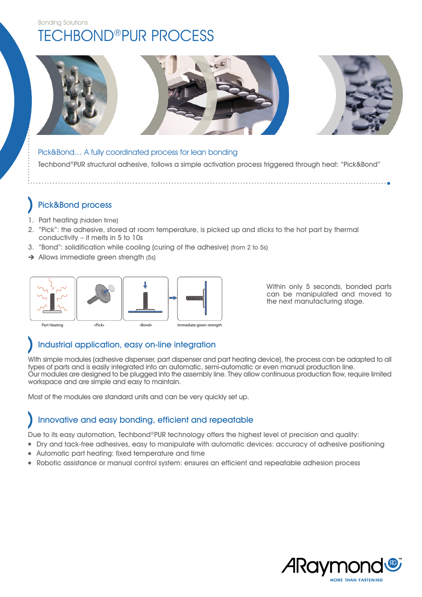## Bonding Solutions Techbond®PUR PROCESs



Techbond®PUR structural adhesive, follows a simple activation process triggered through heat: "Pick&Bond" Pick&Bond… A fully coordinated process for lean bonding

## Pick&Bond process

- 1. Part heating (hidden time)
- 2. "Pick": the adhesive, stored at room temperature, is picked up and sticks to the hot part by thermal conductivity – it melts in 5 to 10s
- 3. "Bond": solidification while cooling (curing of the adhesive) (from 2 to 5s)
- Allows immediate green strength (5s)



Within only 5 seconds, bonded parts can be manipulated and moved to the next manufacturing stage.

## Industrial application, easy on-line integration

With simple modules (adhesive dispenser, part dispenser and part heating device), the process can be adapted to all types of parts and is easily integrated into an automatic, semi-automatic or even manual production line. Our modules are designed to be plugged into the assembly line. They allow continuous production flow, require limited workspace and are simple and easy to maintain.

Most of the modules are standard units and can be very quickly set up.

## Innovative and easy bonding, efficient and repeatable

Due to its easy automation, Techbond®PUR technology offers the highest level of precision and quality:

- Dry and tack-free adhesives, easy to manipulate with automatic devices: accuracy of adhesive positioning
- Automatic part heating: fixed temperature and time
- Robotic assistance or manual control system: ensures an efficient and repeatable adhesion process